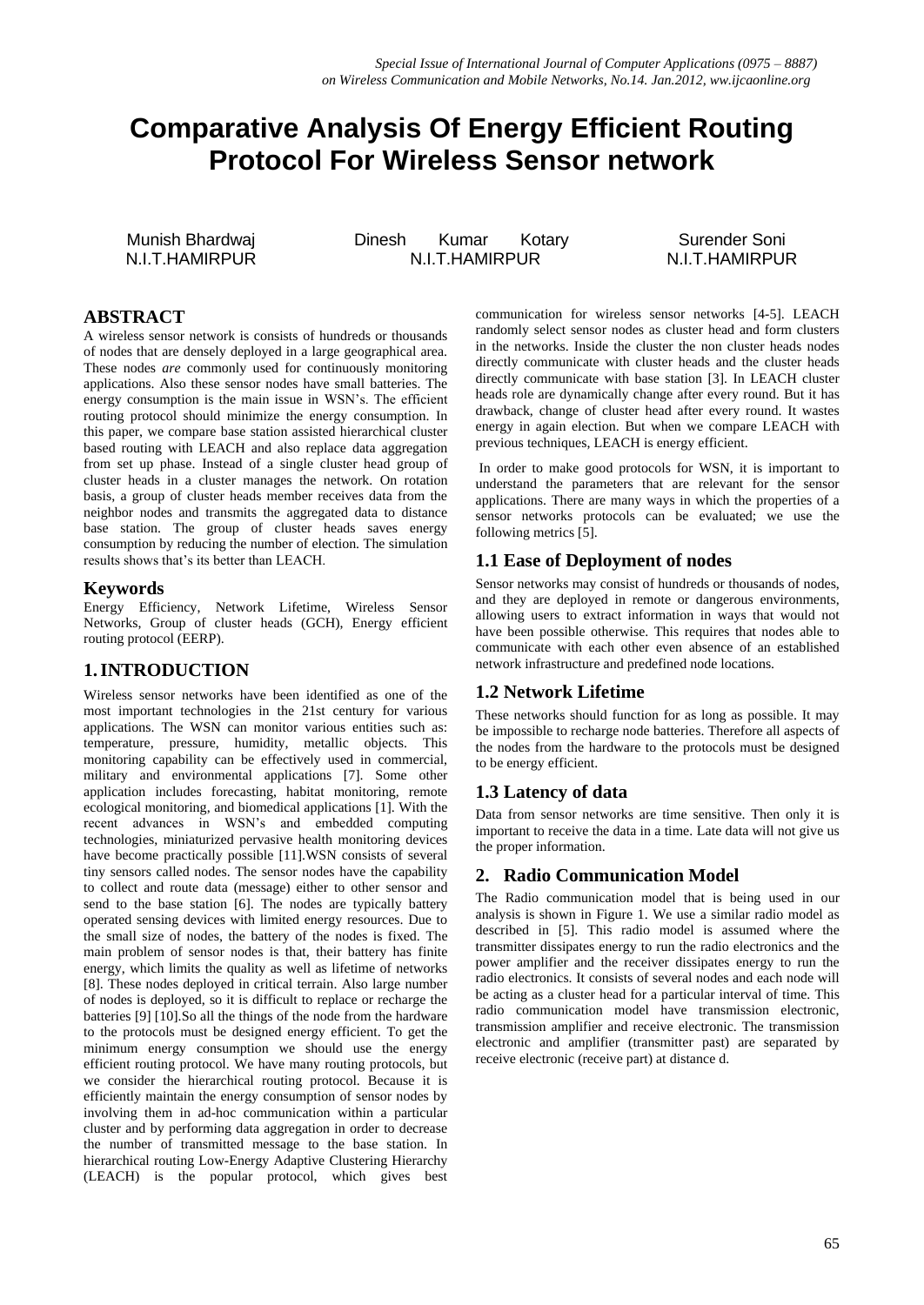# **Comparative Analysis Of Energy Efficient Routing Protocol For Wireless Sensor network**

Munish Bhardwaj N.I.T.HAMIRPUR Dinesh Kumar Kotary N.I.T.HAMIRPUR

Surender Soni N.I.T.HAMIRPUR

## **ABSTRACT**

A wireless sensor network is consists of hundreds or thousands of nodes that are densely deployed in a large geographical area. These nodes *are* commonly used for continuously monitoring applications. Also these sensor nodes have small batteries. The energy consumption is the main issue in WSN's. The efficient routing protocol should minimize the energy consumption. In this paper, we compare base station assisted hierarchical cluster based routing with LEACH and also replace data aggregation from set up phase. Instead of a single cluster head group of cluster heads in a cluster manages the network. On rotation basis, a group of cluster heads member receives data from the neighbor nodes and transmits the aggregated data to distance base station. The group of cluster heads saves energy consumption by reducing the number of election. The simulation results shows that's its better than LEACH.

#### **Keywords**

Energy Efficiency, Network Lifetime, Wireless Sensor Networks, Group of cluster heads (GCH), Energy efficient routing protocol (EERP).

#### **1.INTRODUCTION**

Wireless sensor networks have been identified as one of the most important technologies in the 21st century for various applications. The WSN can monitor various entities such as: temperature, pressure, humidity, metallic objects. This monitoring capability can be effectively used in commercial, military and environmental applications [7]. Some other application includes forecasting, habitat monitoring, remote ecological monitoring, and biomedical applications [1]. With the recent advances in WSN's and embedded computing technologies, miniaturized pervasive health monitoring devices have become practically possible [11].WSN consists of several tiny sensors called nodes. The sensor nodes have the capability to collect and route data (message) either to other sensor and send to the base station [6]. The nodes are typically battery operated sensing devices with limited energy resources. Due to the small size of nodes, the battery of the nodes is fixed. The main problem of sensor nodes is that, their battery has finite energy, which limits the quality as well as lifetime of networks [8]. These nodes deployed in critical terrain. Also large number of nodes is deployed, so it is difficult to replace or recharge the batteries [9] [10].So all the things of the node from the hardware to the protocols must be designed energy efficient. To get the minimum energy consumption we should use the energy efficient routing protocol. We have many routing protocols, but we consider the hierarchical routing protocol. Because it is efficiently maintain the energy consumption of sensor nodes by involving them in ad-hoc communication within a particular cluster and by performing data aggregation in order to decrease the number of transmitted message to the base station. In hierarchical routing Low-Energy Adaptive Clustering Hierarchy (LEACH) is the popular protocol, which gives best communication for wireless sensor networks [4-5]. LEACH randomly select sensor nodes as cluster head and form clusters in the networks. Inside the cluster the non cluster heads nodes directly communicate with cluster heads and the cluster heads directly communicate with base station [3]. In LEACH cluster heads role are dynamically change after every round. But it has drawback, change of cluster head after every round. It wastes energy in again election. But when we compare LEACH with previous techniques, LEACH is energy efficient.

In order to make good protocols for WSN, it is important to understand the parameters that are relevant for the sensor applications. There are many ways in which the properties of a sensor networks protocols can be evaluated; we use the following metrics [5].

### **1.1 Ease of Deployment of nodes**

Sensor networks may consist of hundreds or thousands of nodes, and they are deployed in remote or dangerous environments, allowing users to extract information in ways that would not have been possible otherwise. This requires that nodes able to communicate with each other even absence of an established network infrastructure and predefined node locations.

#### **1.2 Network Lifetime**

These networks should function for as long as possible. It may be impossible to recharge node batteries. Therefore all aspects of the nodes from the hardware to the protocols must be designed to be energy efficient.

#### **1.3 Latency of data**

Data from sensor networks are time sensitive. Then only it is important to receive the data in a time. Late data will not give us the proper information.

#### **2. Radio Communication Model**

The Radio communication model that is being used in our analysis is shown in Figure 1. We use a similar radio model as described in [5]. This radio model is assumed where the transmitter dissipates energy to run the radio electronics and the power amplifier and the receiver dissipates energy to run the radio electronics. It consists of several nodes and each node will be acting as a cluster head for a particular interval of time. This radio communication model have transmission electronic, transmission amplifier and receive electronic. The transmission electronic and amplifier (transmitter past) are separated by receive electronic (receive part) at distance d.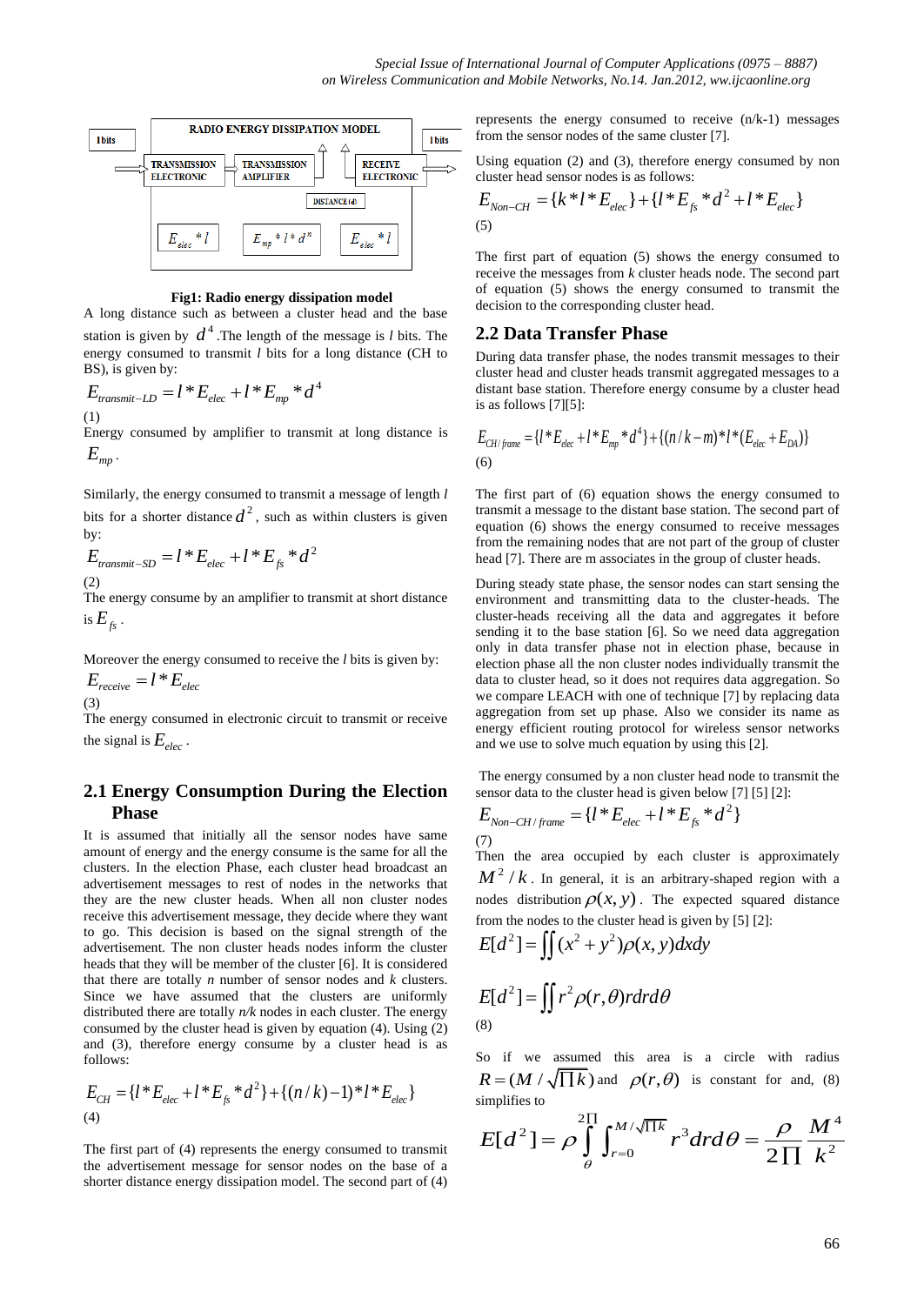

#### **Fig1: Radio energy dissipation model**

A long distance such as between a cluster head and the base station is given by  $d^4$ . The length of the message is *l* bits. The energy consumed to transmit *l* bits for a long distance (CH to

BS), is given by:  
\n
$$
E_{transmit-LD} = l * E_{elec} + l * E_{mp} * d^4
$$
\n(1)

Energy consumed by amplifier to transmit at long distance is *E mp* .

Similarly, the energy consumed to transmit a message of length *l*  bits for a shorter distance  $d^2$ , such as within clusters is given by:

by:  
\n
$$
E_{transmit-SD} = l * E_{elec} + l * E_{fs} * d^2
$$
  
\n(2)

The energy consume by an amplifier to transmit at short distance is  $E_{f_s}$  .

Moreover the energy consumed to receive the *l* bits is given by:  $E_{\text{receive}} = l * E_{\text{elec}}$ 

(3)

The energy consumed in electronic circuit to transmit or receive the signal is  $E_{elec}$ .

#### **2.1 Energy Consumption During the Election Phase**

It is assumed that initially all the sensor nodes have same amount of energy and the energy consume is the same for all the clusters. In the election Phase, each cluster head broadcast an advertisement messages to rest of nodes in the networks that they are the new cluster heads. When all non cluster nodes receive this advertisement message, they decide where they want to go. This decision is based on the signal strength of the advertisement. The non cluster heads nodes inform the cluster heads that they will be member of the cluster [6]. It is considered that there are totally *n* number of sensor nodes and *k* clusters. Since we have assumed that the clusters are uniformly distributed there are totally *n/k* nodes in each cluster. The energy consumed by the cluster head is given by equation (4). Using (2) and (3), therefore energy consume by a cluster head is as follows:

follows:  
\n
$$
E_{CH} = \{ l^* E_{elec} + l^* E_{fs}^* d^2 \} + \{ (n/k) - 1 \}^* l^* E_{elec} \}
$$
\n(4)

The first part of (4) represents the energy consumed to transmit the advertisement message for sensor nodes on the base of a shorter distance energy dissipation model. The second part of (4)

represents the energy consumed to receive (n/k-1) messages from the sensor nodes of the same cluster [7].

Using equation (2) and (3), therefore energy consumed by non Using equation (2) and (3), therefore energy consumed by<br>cluster head sensor nodes is as follows:<br> $E_{Non-CH} = \{k * l * E_{elec}\} + \{l * E_{fs} * d^2 + l * E_{elec}\}\$ 

$$
E_{Non-CH} = \{k^* l^* E_{elec}\} + \{l^* E_{fs}^* d^2 + l^* E_{elec}\}\
$$
\n<sup>(5)</sup>

The first part of equation (5) shows the energy consumed to receive the messages from *k* cluster heads node. The second part of equation (5) shows the energy consumed to transmit the decision to the corresponding cluster head.

#### **2.2 Data Transfer Phase**

During data transfer phase, the nodes transmit messages to their cluster head and cluster heads transmit aggregated messages to a distant base station. Therefore energy consume by a cluster head is as follows [7][5]:

is as follows [7][5]:  
\n
$$
E_{CH/frame} = \{l^* E_{elec} + l^* E_{mp} * d^4\} + \{(n/k - m)^* l^* (E_{elec} + E_{DA})\}
$$
\n(6)

The first part of (6) equation shows the energy consumed to transmit a message to the distant base station. The second part of equation (6) shows the energy consumed to receive messages from the remaining nodes that are not part of the group of cluster head [7]. There are m associates in the group of cluster heads.

During steady state phase, the sensor nodes can start sensing the environment and transmitting data to the cluster-heads. The cluster-heads receiving all the data and aggregates it before sending it to the base station [6]. So we need data aggregation only in data transfer phase not in election phase, because in election phase all the non cluster nodes individually transmit the data to cluster head, so it does not requires data aggregation. So we compare LEACH with one of technique [7] by replacing data aggregation from set up phase. Also we consider its name as energy efficient routing protocol for wireless sensor networks and we use to solve much equation by using this [2].

The energy consumed by a non cluster head node to transmit the

sensor data to the cluster head is given below [7] [5] [2]:  
\n
$$
E_{Non-CH/frame} = \{l * E_{elec} + l * E_{fs} * d^2\}
$$
\n(7)

Then the area occupied by each cluster is approximately  $M^2$  /  $k$  . In general, it is an arbitrary-shaped region with a nodes distribution  $\rho(x, y)$ . The expected squared distance

from the nodes to the cluster head is given by [5] [2]:  
\n
$$
E[d^2] = \iint (x^2 + y^2) \rho(x, y) dx dy
$$
\n
$$
E[d^2] = \iint r^2 \rho(r, \theta) r dr d\theta
$$

(8)

So if we assumed this area is a circle with radius

$$
R = (M / \sqrt{\prod k}) \text{ and } \rho(r, \theta) \text{ is constant for and, (8)}
$$
  
simplifies to  

$$
E[d^2] = \rho \int_{\theta}^{2\pi} \int_{r=0}^{M/\sqrt{\prod k}} r^3 dr d\theta = \frac{\rho}{2\pi} \frac{M^4}{k^2}
$$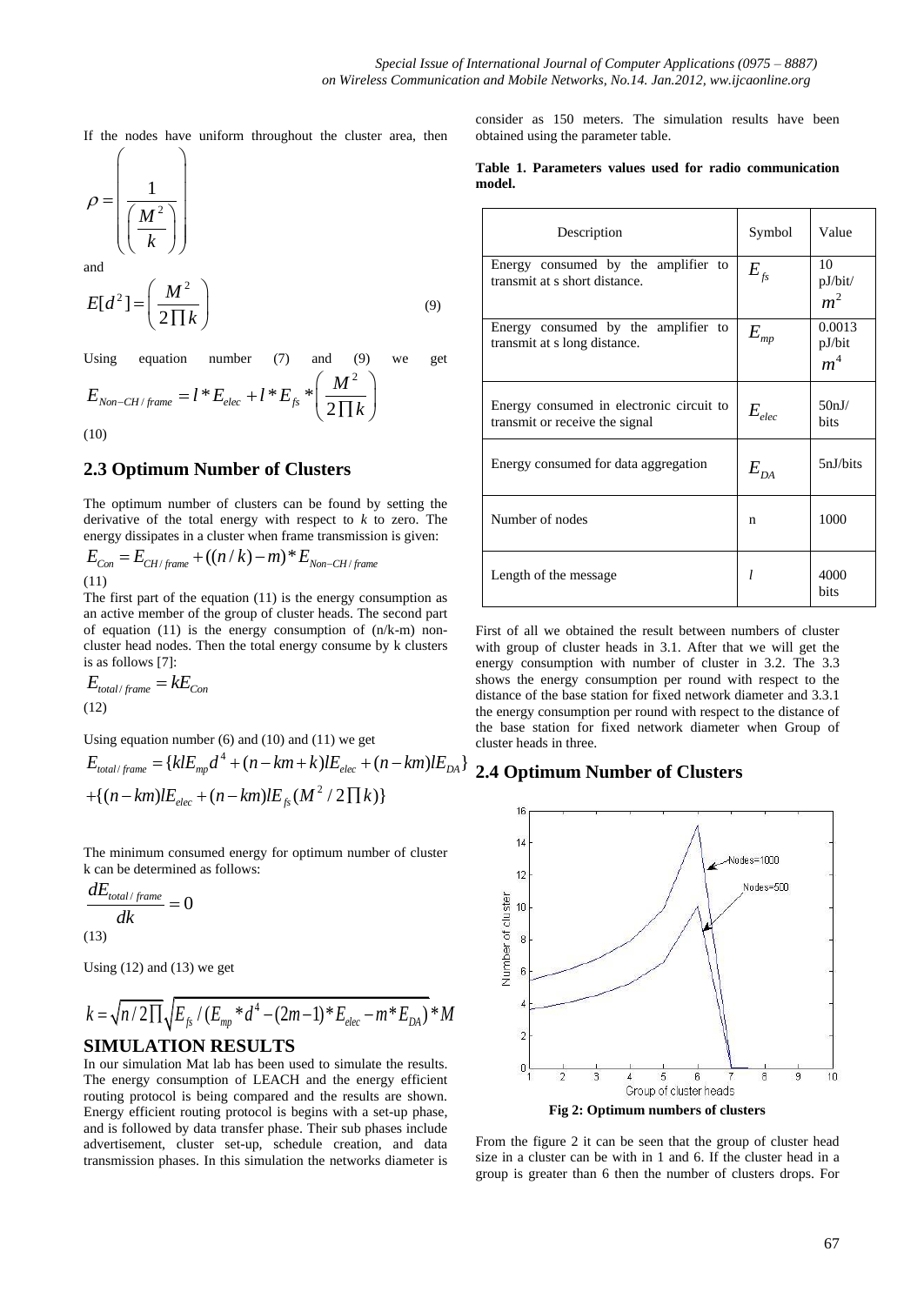**model.**

If the nodes have uniform throughout the cluster area, then

$$
\rho = \left(\frac{1}{\left(\frac{M^2}{k}\right)}\right)
$$

and

$$
E[d^2] = \left(\frac{M^2}{2\prod k}\right) \tag{9}
$$

Using equation number (7) and (9) we get  
\n
$$
E_{Non-CH/frame} = l * E_{elec} + l * E_{fs} * \left(\frac{M^2}{2\prod k}\right)
$$
\n(10)

(10)

### **2.3 Optimum Number of Clusters**

The optimum number of clusters can be found by setting the derivative of the total energy with respect to *k* to zero. The derivative of the total energy with respect to  $k$  to zero. If<br>energy dissipates in a cluster when frame transmission is given:<br> $E_{Con} = E_{CH/frame} + ((n/k) - m)^* E_{Non-CH/frame}$ 

$$
E_{Con} = E_{CH/frame} + ((n / k) - m)^* E_{Non-CH/frame}
$$
\n(11)

The first part of the equation (11) is the energy consumption as an active member of the group of cluster heads. The second part of equation  $(11)$  is the energy consumption of  $(n/k-m)$  noncluster head nodes. Then the total energy consume by k clusters is as follows [7]:

$$
E_{total/frame} = kE_{Con}
$$
  
(12)

Using equation number  $(6)$  and  $(10)$  and  $(11)$  we get

Using equation number (6) and (10) and (11) we get  
\n
$$
E_{total/frame} = \{klE_{mp}d^4 + (n - km + k)lE_{elec} + (n - km)lE_{DA}\}\
$$
\n
$$
+ \{(n - km)lE_{elec} + (n - km)lE_{fs}(M^2 / 2 \Pi k)\}\
$$

The minimum consumed energy for optimum number of cluster k can be determined as follows:

$$
\frac{dE_{total/frame}}{dk} = 0
$$

(13)

Using  $(12)$  and  $(13)$  we get

Using (12) and (13) we get  
\n
$$
k = \sqrt{n/2 \prod_{\text{fs}} \left( E_{\text{f},\text{p}} / (E_{\text{mp}} * d^4 - (2m - 1) * E_{\text{elec}} - m * E_{\text{DA}} \right)} * M
$$
\n**SIMULATION RESULTS**

In our simulation Mat lab has been used to simulate the results. The energy consumption of LEACH and the energy efficient routing protocol is being compared and the results are shown. Energy efficient routing protocol is begins with a set-up phase, and is followed by data transfer phase. Their sub phases include advertisement, cluster set-up, schedule creation, and data transmission phases. In this simulation the networks diameter is

consider as 150 meters. The simulation results have been obtained using the parameter table.

**Table 1. Parameters values used for radio communication** 

| Description                                                                | Symbol                       | Value                              |
|----------------------------------------------------------------------------|------------------------------|------------------------------------|
| Energy consumed by the amplifier to<br>transmit at s short distance.       | $E_{\scriptscriptstyle{fs}}$ | 10<br>pJ/bit/<br>m <sup>2</sup>    |
| Energy consumed by the amplifier to<br>transmit at s long distance.        | ${\cal E}_{\it mp}$          | 0.0013<br>pJ/bit<br>m <sup>4</sup> |
| Energy consumed in electronic circuit to<br>transmit or receive the signal | $E_{elec}$                   | 50nJ/<br>hits                      |
| Energy consumed for data aggregation                                       | $E_{DA}$                     | 5nJ/bits                           |
| Number of nodes                                                            | n                            | 1000                               |
| Length of the message                                                      | $\mathcal{I}$                | 4000<br>bits                       |

First of all we obtained the result between numbers of cluster with group of cluster heads in 3.1. After that we will get the energy consumption with number of cluster in 3.2. The 3.3 shows the energy consumption per round with respect to the distance of the base station for fixed network diameter and 3.3.1 the energy consumption per round with respect to the distance of the base station for fixed network diameter when Group of cluster heads in three.

# **2.4 Optimum Number of Clusters**



From the figure 2 it can be seen that the group of cluster head size in a cluster can be with in 1 and 6. If the cluster head in a group is greater than 6 then the number of clusters drops. For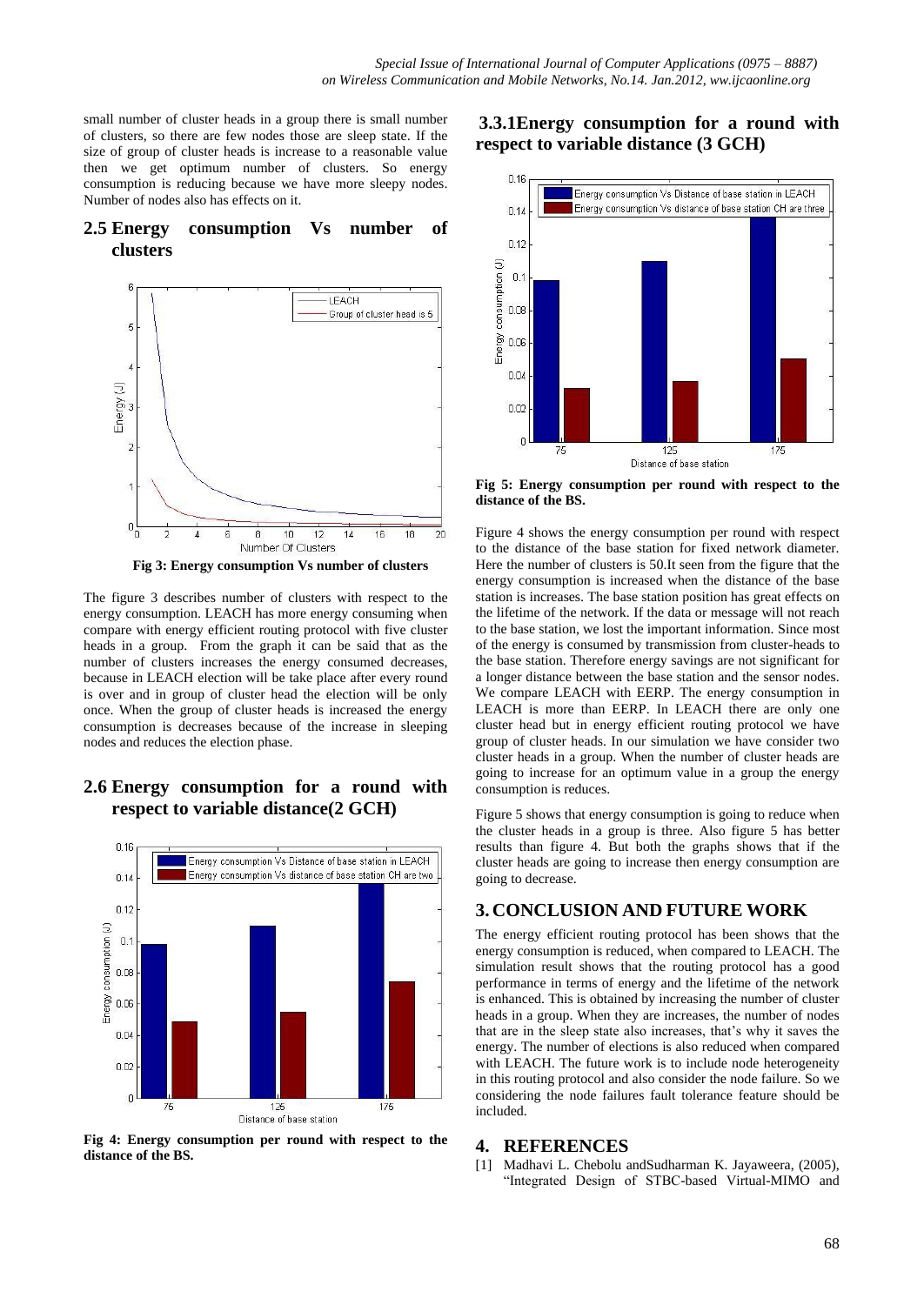small number of cluster heads in a group there is small number of clusters, so there are few nodes those are sleep state. If the size of group of cluster heads is increase to a reasonable value then we get optimum number of clusters. So energy consumption is reducing because we have more sleepy nodes. Number of nodes also has effects on it.

#### **2.5 Energy consumption Vs number of clusters**



 **Fig 3: Energy consumption Vs number of clusters**

The figure 3 describes number of clusters with respect to the energy consumption. LEACH has more energy consuming when compare with energy efficient routing protocol with five cluster heads in a group. From the graph it can be said that as the number of clusters increases the energy consumed decreases, because in LEACH election will be take place after every round is over and in group of cluster head the election will be only once. When the group of cluster heads is increased the energy consumption is decreases because of the increase in sleeping nodes and reduces the election phase.

### **2.6 Energy consumption for a round with respect to variable distance(2 GCH)**



**Fig 4: Energy consumption per round with respect to the distance of the BS.**

# **3.3.1Energy consumption for a round with respect to variable distance (3 GCH)**



**Fig 5: Energy consumption per round with respect to the distance of the BS.**

Figure 4 shows the energy consumption per round with respect to the distance of the base station for fixed network diameter. Here the number of clusters is 50.It seen from the figure that the energy consumption is increased when the distance of the base station is increases. The base station position has great effects on the lifetime of the network. If the data or message will not reach to the base station, we lost the important information. Since most of the energy is consumed by transmission from cluster-heads to the base station. Therefore energy savings are not significant for a longer distance between the base station and the sensor nodes. We compare LEACH with EERP. The energy consumption in LEACH is more than EERP. In LEACH there are only one cluster head but in energy efficient routing protocol we have group of cluster heads. In our simulation we have consider two cluster heads in a group. When the number of cluster heads are going to increase for an optimum value in a group the energy consumption is reduces.

Figure 5 shows that energy consumption is going to reduce when the cluster heads in a group is three. Also figure 5 has better results than figure 4. But both the graphs shows that if the cluster heads are going to increase then energy consumption are going to decrease.

#### **3. CONCLUSION AND FUTURE WORK**

The energy efficient routing protocol has been shows that the energy consumption is reduced, when compared to LEACH. The simulation result shows that the routing protocol has a good performance in terms of energy and the lifetime of the network is enhanced. This is obtained by increasing the number of cluster heads in a group. When they are increases, the number of nodes that are in the sleep state also increases, that's why it saves the energy. The number of elections is also reduced when compared with LEACH. The future work is to include node heterogeneity in this routing protocol and also consider the node failure. So we considering the node failures fault tolerance feature should be included.

#### **4. REFERENCES**

[1] Madhavi L. Chebolu andSudharman K. Jayaweera, (2005), "Integrated Design of STBC-based Virtual-MIMO and